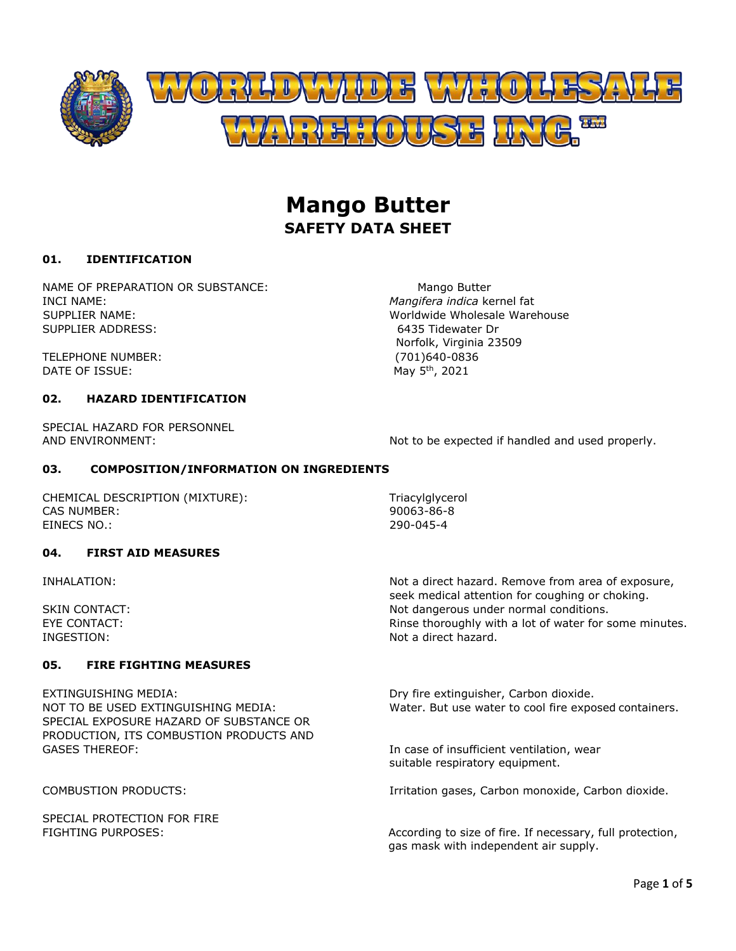

# **Mango Butter SAFETY DATA SHEET**

# **01. IDENTIFICATION**

NAME OF PREPARATION OR SUBSTANCE: Mango Butter INCI NAME: *Mangifera indica* kernel fat SUPPLIER NAME: Worldwide Wholesale Warehouse SUPPLIER ADDRESS: 6435 Tidewater Dr

TELEPHONE NUMBER: (701)640-0836 DATE OF ISSUE:

# **02. HAZARD IDENTIFICATION**

SPECIAL HAZARD FOR PERSONNEL

 Norfolk, Virginia 23509 May 5<sup>th</sup>, 2021

AND ENVIRONMENT:  $N$  and to be expected if handled and used properly.

# **03. COMPOSITION/INFORMATION ON INGREDIENTS**

CHEMICAL DESCRIPTION (MIXTURE): Triacylglycerol CAS NUMBER: 90063-86-8 EINECS NO.: 290-045-4

# **04. FIRST AID MEASURES**

# **05. FIRE FIGHTING MEASURES**

EXTINGUISHING MEDIA: Dry fire extinguisher, Carbon dioxide. SPECIAL EXPOSURE HAZARD OF SUBSTANCE OR PRODUCTION, ITS COMBUSTION PRODUCTS AND GASES THEREOF: **In case of insufficient ventilation, wear** and the state of insufficient ventilation, wear

SPECIAL PROTECTION FOR FIRE

INHALATION: Not a direct hazard. Remove from area of exposure, seek medical attention for coughing or choking. SKIN CONTACT: SKIN CONTACT: SKIN CONTACT: EYE CONTACT: EXELO RINGER THE RINGER THAT RINGER THAT RINGER THAT RINGER THAT RINGER THAT RINGER THAT RINGER THAT RINGER THAT RINGER THAT AND RINGER THAT AN AMELIAN CHARGE THAT AN AMELIAN CHARGE THAT AN AMELIAN CHARGE THAT INGESTION: Not a direct hazard.

NOT TO BE USED EXTINGUISHING MEDIA: Water. But use water to cool fire exposed containers.

suitable respiratory equipment.

COMBUSTION PRODUCTS: Irritation gases, Carbon monoxide, Carbon dioxide.

FIGHTING PURPOSES: According to size of fire. If necessary, full protection, gas mask with independent air supply.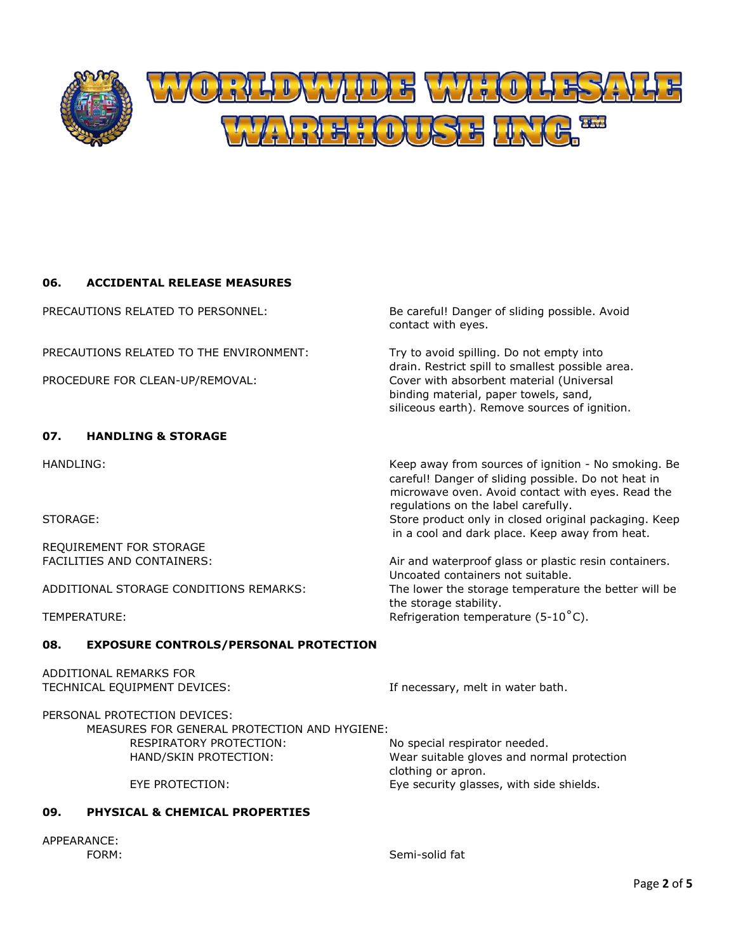

# **06. ACCIDENTAL RELEASE MEASURES**

PRECAUTIONS RELATED TO THE ENVIRONMENT: Try to avoid spilling. Do not empty into

# **07. HANDLING & STORAGE**

REQUIREMENT FOR STORAGE

#### **08. EXPOSURE CONTROLS/PERSONAL PROTECTION**

ADDITIONAL REMARKS FOR TECHNICAL EQUIPMENT DEVICES: If necessary, melt in water bath.

PERSONAL PROTECTION DEVICES: MEASURES FOR GENERAL PROTECTION AND HYGIENE: RESPIRATORY PROTECTION: No special respirator needed. HAND/SKIN PROTECTION: Wear suitable gloves and normal protection clothing or apron.

EYE PROTECTION: Eye security glasses, with side shields.

# **09. PHYSICAL & CHEMICAL PROPERTIES**

APPEARANCE:

FORM: Semi-solid fat

PRECAUTIONS RELATED TO PERSONNEL: Be careful! Danger of sliding possible. Avoid contact with eyes.

drain. Restrict spill to smallest possible area. PROCEDURE FOR CLEAN-UP/REMOVAL: Cover with absorbent material (Universal binding material, paper towels, sand, siliceous earth). Remove sources of ignition.

HANDLING: Example 20 and the Keep away from sources of ignition - No smoking. Be careful! Danger of sliding possible. Do not heat in microwave oven. Avoid contact with eyes. Read the regulations on the label carefully. STORAGE: STORAGE: STORAGE: STORAGE: STORAGE: STORAGE: STORAGE: STORAGE: STORAGE: STORAGE: STORAGE: STORAGE: STORAGE: STORAGE: STORAGE: STORAGE: STORAGE: STORAGE: STORAGE: STORAGE: STORAGE: STORAGE: STORAGE: STORAGE: STORAG in a cool and dark place. Keep away from heat.

FACILITIES AND CONTAINERS: Air and waterproof glass or plastic resin containers. Uncoated containers not suitable. ADDITIONAL STORAGE CONDITIONS REMARKS: The lower the storage temperature the better will be the storage stability. TEMPERATURE: TEMPERATURE: TEMPERATURE: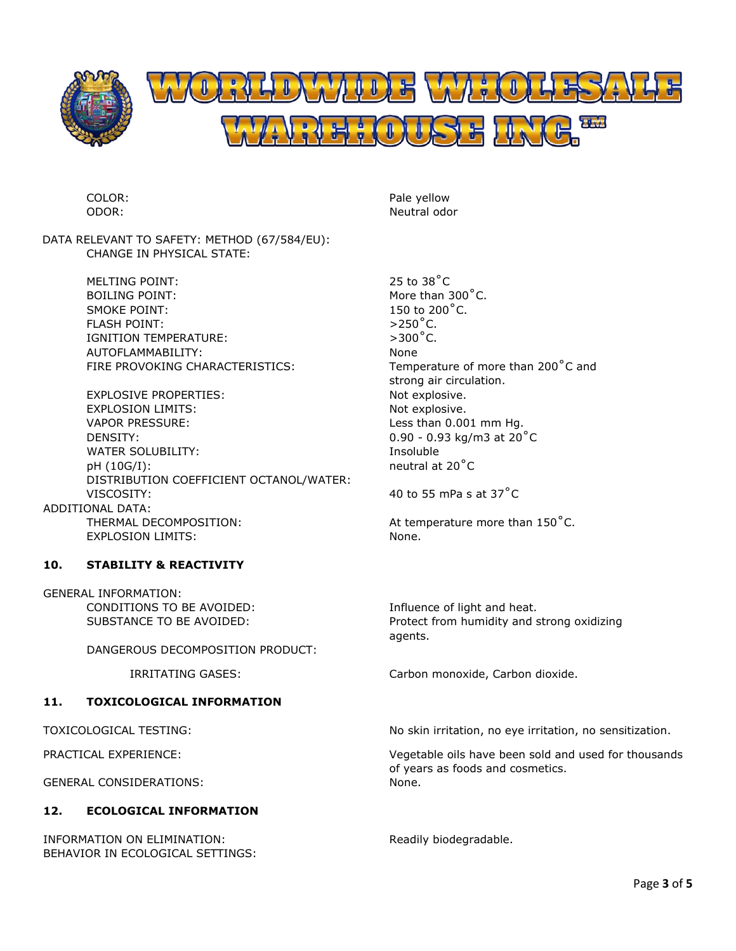

| COLOR: |
|--------|
| ODOR:  |

DATA RELEVANT TO SAFETY: METHOD (67/584/EU): CHANGE IN PHYSICAL STATE:

> MELTING POINT: 25 to 38<sup>°</sup>C BOILING POINT: SALLING POINT: SALLING POINT: SALLING POINT: SALLING POINT: SALLING POINT: SALLING POINT: SALLING POINT: SALLING POINT: SALLING POINT: SALLING POINT: SALLING POINT: SALLING POINT: SALLING POINT: SALLING POIN SMOKE POINT: 150 to 200<sup>°</sup>C. FLASH POINT:  $>250^{\circ}$ C.<br>IGNITION TEMPERATURE:  $>300^{\circ}$ C. IGNITION TEMPERATURE: AUTOFLAMMABILITY: None FIRE PROVOKING CHARACTERISTICS: Temperature of more than 200˚C and

EXPLOSIVE PROPERTIES: Not explosive. EXPLOSION LIMITS: Not explosive. VAPOR PRESSURE: Less than 0.001 mm Hg. DENSITY: 0.90 - 0.93 kg/m3 at 20˚C WATER SOLUBILITY: Insoluble pH (10G/I): DISTRIBUTION COEFFICIENT OCTANOL/WATER: VISCOSITY: ADDITIONAL DATA:

EXPLOSION LIMITS: None.

# **10. STABILITY & REACTIVITY**

GENERAL INFORMATION: CONDITIONS TO BE AVOIDED: Influence of light and heat.

Pale yellow Neutral odor

strong air circulation. neutral at 20˚C

40 to 55 mPa s at  $37^{\circ}$ C

THERMAL DECOMPOSITION:  $\overline{a}$  at temperature more than 150°C.

Carbon monoxide, Carbon dioxide.

SUBSTANCE TO BE AVOIDED: Protect from humidity and strong oxidizing agents.

DANGEROUS DECOMPOSITION PRODUCT:

IRRITATING GASES:

# **11. TOXICOLOGICAL INFORMATION**

GENERAL CONSIDERATIONS:

# **12. ECOLOGICAL INFORMATION**

INFORMATION ON ELIMINATION: BEHAVIOR IN ECOLOGICAL SETTINGS:

TOXICOLOGICAL TESTING: No skin irritation, no eye irritation, no sensitization.

PRACTICAL EXPERIENCE: Vegetable oils have been sold and used for thousands of years as foods and cosmetics. None.

Readily biodegradable.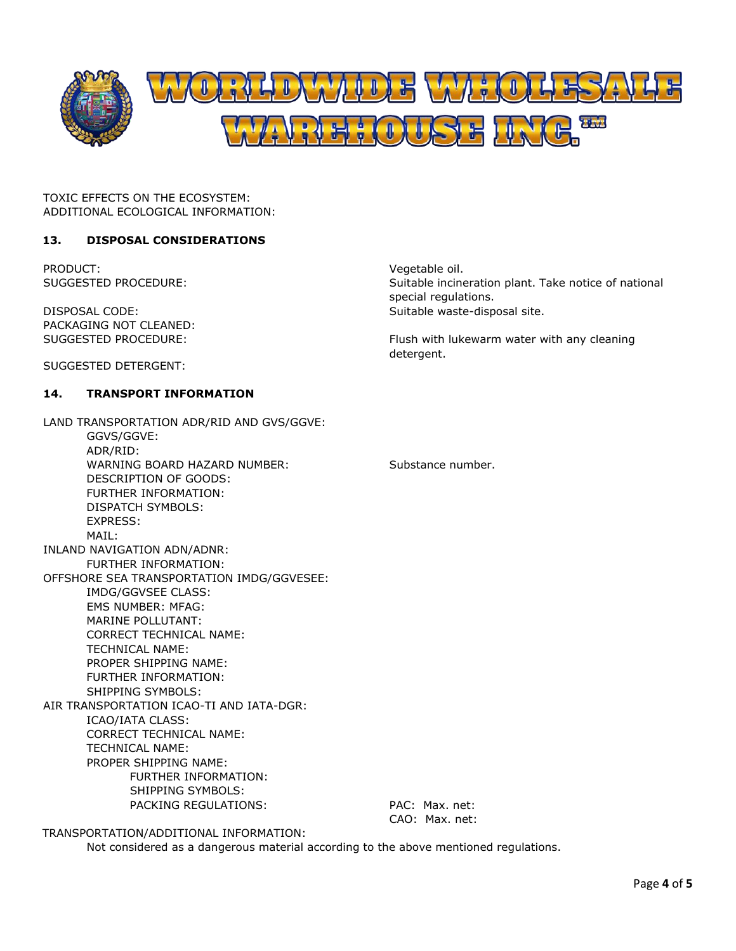

TOXIC EFFECTS ON THE ECOSYSTEM: ADDITIONAL ECOLOGICAL INFORMATION:

# **13. DISPOSAL CONSIDERATIONS**

PRODUCT: Vegetable oil.

DISPOSAL CODE: PACKAGING NOT CLEANED: SUGGESTED PROCEDURE:

SUGGESTED DETERGENT:

#### **14. TRANSPORT INFORMATION**

LAND TRANSPORTATION ADR/RID AND GVS/GGVE: GGVS/GGVE: ADR/RID: WARNING BOARD HAZARD NUMBER: DESCRIPTION OF GOODS: FURTHER INFORMATION: DISPATCH SYMBOLS: EXPRESS: MAIL: INLAND NAVIGATION ADN/ADNR: FURTHER INFORMATION: OFFSHORE SEA TRANSPORTATION IMDG/GGVESEE: IMDG/GGVSEE CLASS: EMS NUMBER: MFAG: MARINE POLLUTANT: CORRECT TECHNICAL NAME: TECHNICAL NAME: PROPER SHIPPING NAME: FURTHER INFORMATION: SHIPPING SYMBOLS: AIR TRANSPORTATION ICAO-TI AND IATA-DGR: ICAO/IATA CLASS: CORRECT TECHNICAL NAME: TECHNICAL NAME: PROPER SHIPPING NAME: FURTHER INFORMATION: SHIPPING SYMBOLS: PACKING REGULATIONS: PAC: Max. net:

SUGGESTED PROCEDURE: Suitable incineration plant. Take notice of national special regulations. Suitable waste-disposal site.

> Flush with lukewarm water with any cleaning detergent.

Substance number.

CAO: Max. net:

TRANSPORTATION/ADDITIONAL INFORMATION:

Not considered as a dangerous material according to the above mentioned regulations.